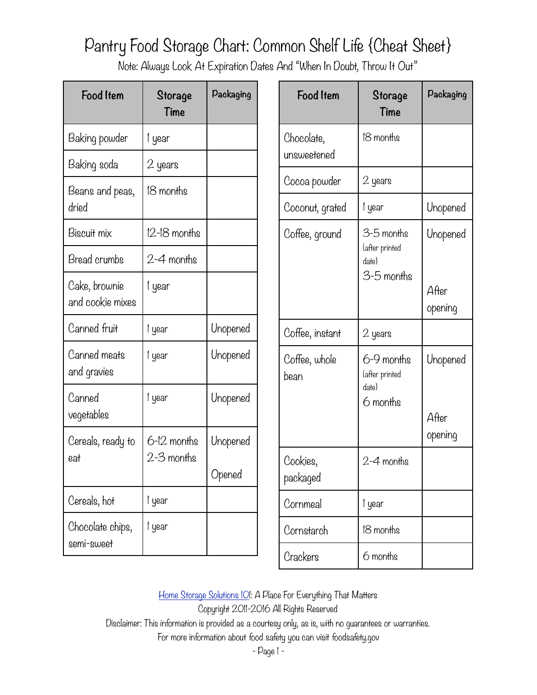Note: Always Look At Expiration Dates And "When In Doubt, Throw It Out"

| <b>Food Item</b>                         | Storage<br>Time           | Packaging          |
|------------------------------------------|---------------------------|--------------------|
| Baking powder                            | l year                    |                    |
| Baking soda                              | 2 years                   |                    |
| Beans and peas,<br>dried                 | 18 months                 |                    |
| Biscuit mix                              | $12$ -18 months           |                    |
| Bread crumbs                             | 2–4 months                |                    |
| Cake, brownie<br>and cookie mixes        | l year                    |                    |
| Canned fruit                             | l year                    | Unopened           |
| Canned mea <del>t</del> s<br>and gravies | l year                    | Unopened           |
| Canned<br>vegetables                     | l year                    | Unopened           |
| Cereals, ready to<br>eat                 | 6–12 months<br>2-3 months | Unopened<br>Opened |
| Cereals, hot                             | l year                    |                    |
| Chocolate chips,<br>semi-sweet           | l year                    |                    |

| <b>Food Item</b>          | Storage<br>Time                                     | Packaging                    |
|---------------------------|-----------------------------------------------------|------------------------------|
| Chocolate,<br>unsweetened | 18 months                                           |                              |
| Cocoa powder              | 2 years                                             |                              |
| Coconut, grated           | l year                                              | Unopened                     |
| Coffee, ground            | 3–5 months<br>(after printed<br>date)<br>3-5 months | Unopened<br>After<br>opening |
| Coffee, instant           | 2 years                                             |                              |
| Coffee, whole<br>bean     | 6-9 months<br>(after printed<br>date)<br>6 months   | Unopened<br>After<br>opening |
| Cookies,<br>packaged      | $2 - 4$ months                                      |                              |
| Cornmeal                  | l year                                              |                              |
| Cornstarch                | 18 months                                           |                              |
| Crackers                  | 6 months                                            |                              |

Home Storage Solutions IOI: A Place For Everything That Matters

Copyright 2011-2016 All Rights Reserved

Disclaimer: This information is provided as a courtesy only, as is, with no guarantees or warranties.

For more information about food safety you can visit foodsafety.gov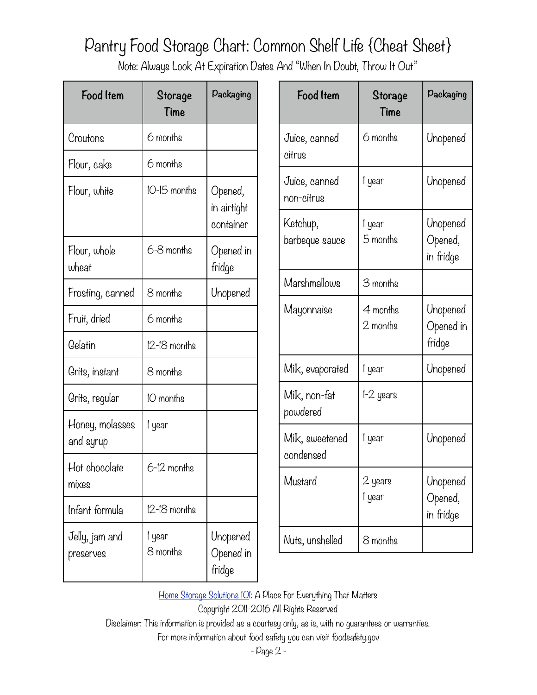Note: Always Look At Expiration Dates And "When In Doubt, Throw It Out"

| <b>Food Item</b>             | Storage<br>Time    | Packaging                           |
|------------------------------|--------------------|-------------------------------------|
| Croutons                     | 6 months           |                                     |
| Flour, cake                  | 6 months           |                                     |
| Flour, white                 | 10-15 months       | Opened,<br>in airtight<br>container |
| Flour, whole<br>wheat        | 6-8 months         | Opened in<br>fridge                 |
| Frosting, canned             | 8 months           | Unopened                            |
| Fruit, dried                 | 6 months           |                                     |
| Gelatin                      | $12$ -18 months    |                                     |
| Grits, instant               | 8 months           |                                     |
| Grits, regular               | 10 months          |                                     |
| Honey, molasses<br>and syrup | l year             |                                     |
| Hot chocolate<br>mixes       | 6-12 months        |                                     |
| Infant formula               | $12 - 18$ months   |                                     |
| Jelly, jam and<br>preserves  | l year<br>8 months | Unopened<br>Opened in<br>fridge     |

| Food Item                             | Storage<br>Time      | Packaging                        |
|---------------------------------------|----------------------|----------------------------------|
| Juice, canned<br>citrus               | 6 months             | Unopened                         |
| Juice, canned<br>non-citrus           | l year               | Unopened                         |
| Ketchup,<br>barbeque sauce            | l year<br>5 months   | Unopened<br>Opened,<br>in fridge |
| Marshmallows                          | 3 months             |                                  |
| Mayonnaise                            | 4 months<br>2 months | Unopened<br>Opened in<br>fridge  |
| Milk, evapora <del>t</del> ed         | l year               | Unopened                         |
| Milk, non-fa <del>l</del><br>powdered | l-2 years            |                                  |
| Milk, sweetened<br>condensed          | l year               | Unopened                         |
| Mustard                               | 2 years<br>l year    | Unopened<br>Opened,<br>in fridge |
| Nuts, unshelled                       | 8 months             |                                  |

Home Storage Solutions IOI: A Place For Everything That Matters

Copyright 2011-2016 All Rights Reserved

Disclaimer: This information is provided as a courtesy only, as is, with no guarantees or warranties.

For more information about food safety you can visit foodsafety.gov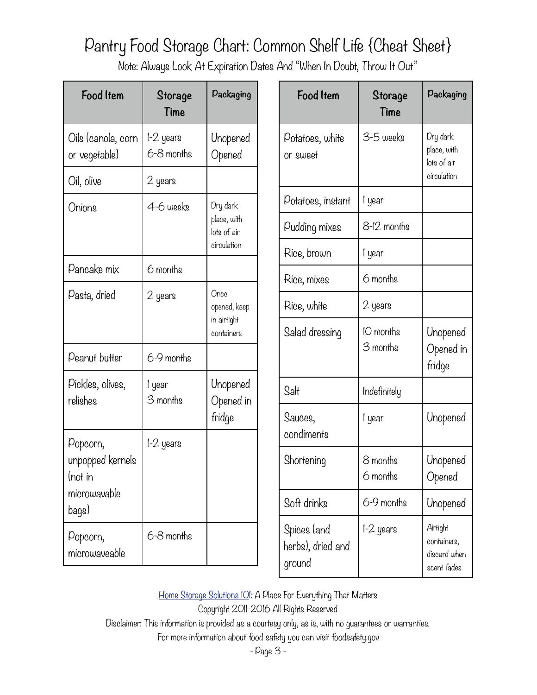Note: Always Look At Expiration Dates And "When In Doubt, Throw It Out"

| <b>Food Item</b>                    | Storage<br>Time         | Packaging                  | Fc                      |
|-------------------------------------|-------------------------|----------------------------|-------------------------|
| Oils (canola, corn<br>or vegetable) | l-2 years<br>6-8 months | Unopened<br>Opened         | Potat<br>or sw          |
| Oil, olive                          | 2 years                 |                            |                         |
| Onions                              | 4-6 weeks               | Dry dark                   | Potat                   |
|                                     |                         | place, with<br>lots of air | Puddi                   |
|                                     |                         | circulation                | Rice,                   |
| Pancake mix                         | 6 months                |                            | Rice,                   |
| Pasta, dried                        | 2 years                 | Once<br>opened, keep       | Rice,                   |
|                                     |                         | in airtight<br>containers  | Salad                   |
| Peanut butter                       | 6-9 months              |                            |                         |
| Pickles, olives,<br>relishes        | l year<br>3 months      | Unopened<br>Opened in      | Salt                    |
|                                     |                         | fridge                     | Sauce                   |
| Popcorn,                            | 1–2 years               |                            | condi                   |
| unpopped kernels<br>(not in         |                         |                            | Short                   |
| microwavable<br>bags)               |                         |                            | Soft o                  |
| Popcorn,<br>microwaveable           | 6-8 months              |                            | Spice<br>herbs<br>aroun |

| Food Item                                  | Storage<br>Time       | Packaging                                              |
|--------------------------------------------|-----------------------|--------------------------------------------------------|
| Po <del>l</del> atoes, white<br>or sweet   | 3-5 weeks             | Dry dark<br>place, with<br>lots of air<br>circulation  |
| Po <del>l</del> atoes, instant             | l year                |                                                        |
| Pudding mixes                              | 8-12 months           |                                                        |
| Rice, brown                                | l year                |                                                        |
| Rice, mixes                                | 6 months              |                                                        |
| Rice, white                                | 2 years               |                                                        |
| Salad dressing                             | 10 months<br>3 months | Unopened<br>Opened in<br>fridge                        |
| Salt                                       | Indefinitely          |                                                        |
| Sauces,<br>condiments                      | l year                | Unopened                                               |
| Shortening                                 | 8 months<br>6 months  | Unopened<br>Opened                                     |
| Soft drinks                                | 6-9 months            | Unopened                                               |
| Spices (and<br>herbs), dried and<br>ground | l-2 years             | Airtight<br>containers,<br>discard when<br>scent fades |

Home Storage Solutions IOI: A Place For Everything That Matters

Copyright 2011-2016 All Rights Reserved

Disclaimer: This information is provided as a courtesy only, as is, with no guarantees or warranties.

For more information about food safety you can visit foodsafety.gov